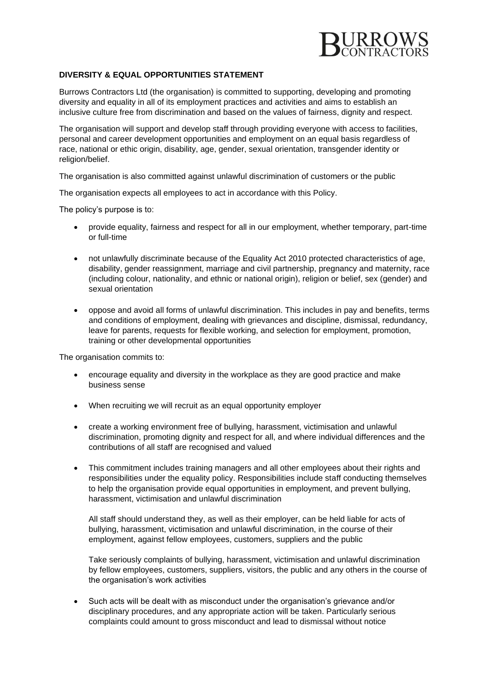

## **DIVERSITY & EQUAL OPPORTUNITIES STATEMENT**

Burrows Contractors Ltd (the organisation) is committed to supporting, developing and promoting diversity and equality in all of its employment practices and activities and aims to establish an inclusive culture free from discrimination and based on the values of fairness, dignity and respect.

The organisation will support and develop staff through providing everyone with access to facilities, personal and career development opportunities and employment on an equal basis regardless of race, national or ethic origin, disability, age, gender, sexual orientation, transgender identity or religion/belief.

The organisation is also committed against unlawful discrimination of customers or the public

The organisation expects all employees to act in accordance with this Policy.

The policy's purpose is to:

- provide equality, fairness and respect for all in our employment, whether temporary, part-time or full-time
- not unlawfully discriminate because of the Equality Act 2010 protected characteristics of age, disability, gender reassignment, marriage and civil partnership, pregnancy and maternity, race (including colour, nationality, and ethnic or national origin), religion or belief, sex (gender) and sexual orientation
- oppose and avoid all forms of unlawful discrimination. This includes in pay and benefits, terms and conditions of employment, dealing with grievances and discipline, dismissal, redundancy, leave for parents, requests for flexible working, and selection for employment, promotion, training or other developmental opportunities

The organisation commits to:

- encourage equality and diversity in the workplace as they are good practice and make business sense
- When recruiting we will recruit as an equal opportunity employer
- create a working environment free of bullying, harassment, victimisation and unlawful discrimination, promoting dignity and respect for all, and where individual differences and the contributions of all staff are recognised and valued
- This commitment includes training managers and all other employees about their rights and responsibilities under the equality policy. Responsibilities include staff conducting themselves to help the organisation provide equal opportunities in employment, and prevent bullying, harassment, victimisation and unlawful discrimination

All staff should understand they, as well as their employer, can be held liable for acts of bullying, harassment, victimisation and unlawful discrimination, in the course of their employment, against fellow employees, customers, suppliers and the public

Take seriously complaints of bullying, harassment, victimisation and unlawful discrimination by fellow employees, customers, suppliers, visitors, the public and any others in the course of the organisation's work activities

• Such acts will be dealt with as misconduct under the organisation's grievance and/or disciplinary procedures, and any appropriate action will be taken. Particularly serious complaints could amount to gross misconduct and lead to dismissal without notice